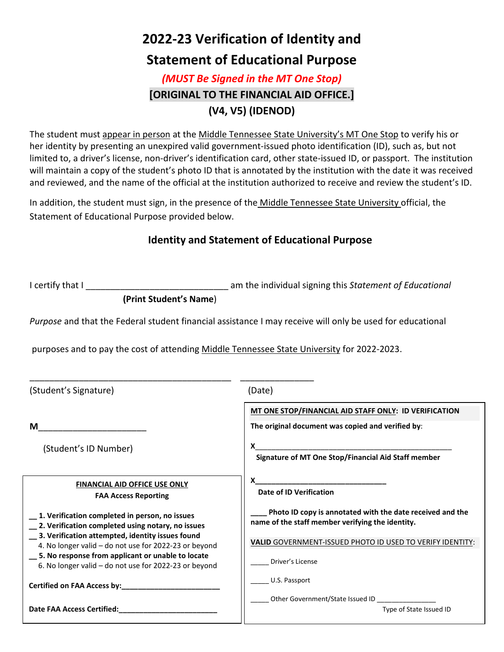# **2022-23 Verification of Identity and**

### **Statement of Educational Purpose**

### *(MUST Be Signed in the MT One Stop)* **[ORIGINAL TO THE FINANCIAL AID OFFICE.] (V4, V5) (IDENOD)**

The student must appear in person at the Middle Tennessee State University's MT One Stop to verify his or her identity by presenting an unexpired valid government-issued photo identification (ID), such as, but not limited to, a driver's license, non-driver's identification card, other state-issued ID, or passport. The institution will maintain a copy of the student's photo ID that is annotated by the institution with the date it was received and reviewed, and the name of the official at the institution authorized to receive and review the student's ID.

In addition, the student must sign, in the presence of the Middle Tennessee State University official, the Statement of Educational Purpose provided below.

#### **Identity and Statement of Educational Purpose**

I certify that I certify that I certify that I certify that I certify that I certify that I certify that I certify that  $\Gamma$ 

**(Print Student's Name**)

*Purpose* and that the Federal student financial assistance I may receive will only be used for educational

purposes and to pay the cost of attending Middle Tennessee State University for 2022-2023.

| (Student's Signature)                                                                                      | (Date)                                                                                                        |  |
|------------------------------------------------------------------------------------------------------------|---------------------------------------------------------------------------------------------------------------|--|
|                                                                                                            | MT ONE STOP/FINANCIAL AID STAFF ONLY: ID VERIFICATION                                                         |  |
| м                                                                                                          | The original document was copied and verified by:                                                             |  |
| (Student's ID Number)                                                                                      | Signature of MT One Stop/Financial Aid Staff member                                                           |  |
|                                                                                                            |                                                                                                               |  |
| <b>FINANCIAL AID OFFICE USE ONLY</b><br><b>FAA Access Reporting</b>                                        | <b>Date of ID Verification</b>                                                                                |  |
| 1. Verification completed in person, no issues<br>2. Verification completed using notary, no issues        | Photo ID copy is annotated with the date received and the<br>name of the staff member verifying the identity. |  |
| 3. Verification attempted, identity issues found<br>4. No longer valid – do not use for 2022-23 or beyond  | VALID GOVERNMENT-ISSUED PHOTO ID USED TO VERIFY IDENTITY:                                                     |  |
| 5. No response from applicant or unable to locate<br>6. No longer valid - do not use for 2022-23 or beyond | Driver's License                                                                                              |  |
| Certified on FAA Access by:                                                                                | U.S. Passport                                                                                                 |  |
| <b>Date FAA Access Certified:</b>                                                                          | Other Government/State Issued ID<br>Type of State Issued ID                                                   |  |